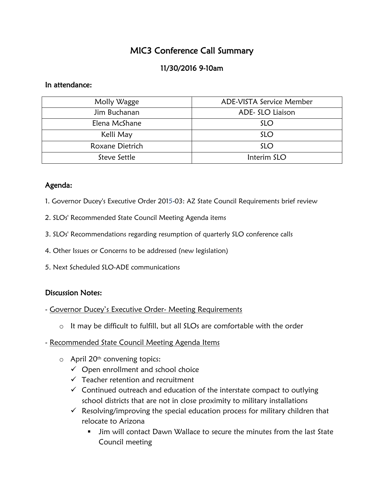# MIC3 Conference Call Summary

## 11/30/2016 9-10am

#### In attendance:

| Molly Wagge     | ADE-VISTA Service Member |
|-----------------|--------------------------|
| Jim Buchanan    | ADE- SLO Liaison         |
| Elena McShane   | <b>SLO</b>               |
| Kelli May       | <b>SLO</b>               |
| Roxane Dietrich | <b>SLO</b>               |
| Steve Settle    | Interim SLO              |

#### Agenda:

- 1. Governor Ducey's Executive Order 2015-03: AZ State Council Requirements brief review
- 2. SLOs' Recommended State Council Meeting Agenda items
- 3. SLOs' Recommendations regarding resumption of quarterly SLO conference calls
- 4. Other Issues or Concerns to be addressed (new legislation)
- 5. Next Scheduled SLO-ADE communications

### Discussion Notes:

- Governor Ducey's Executive Order- Meeting Requirements
	- $\circ$  It may be difficult to fulfill, but all SLOs are comfortable with the order
- Recommended State Council Meeting Agenda Items
	- o April 20th convening topics:
		- $\checkmark$  Open enrollment and school choice
		- $\checkmark$  Teacher retention and recruitment
		- $\checkmark$  Continued outreach and education of the interstate compact to outlying school districts that are not in close proximity to military installations
		- $\checkmark$  Resolving/improving the special education process for military children that relocate to Arizona
			- Jim will contact Dawn Wallace to secure the minutes from the last State Council meeting